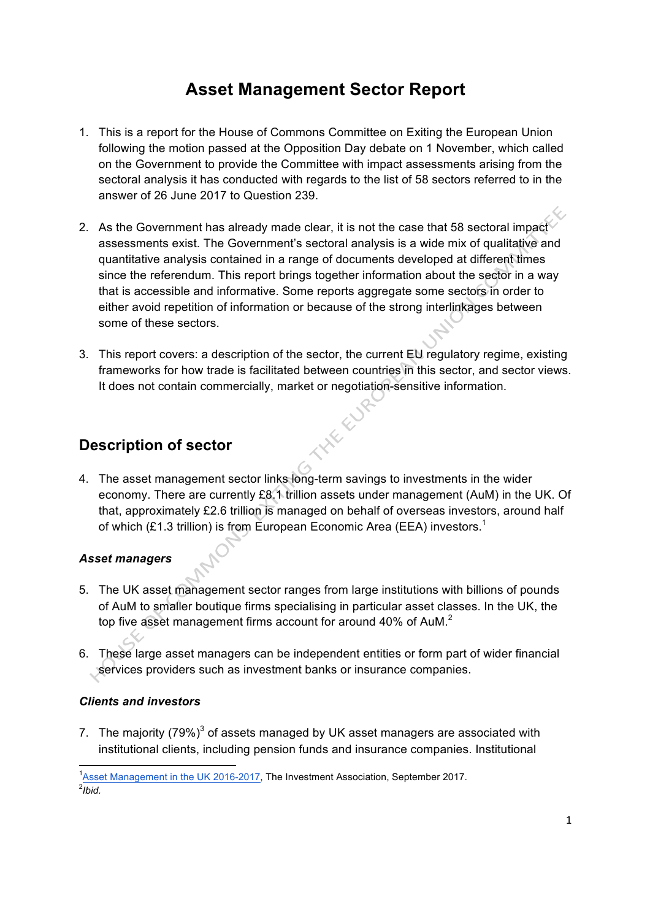# **Asset Management Sector Report**

- 1. This is a report for the House of Commons Committee on Exiting the European Union following the motion passed at the Opposition Day debate on 1 November, which called on the Government to provide the Committee with impact assessments arising from the sectoral analysis it has conducted with regards to the list of 58 sectors referred to in the answer of 26 June 2017 to Question 239.
- 2. As the Government has already made clear, it is not the case that 58 sectoral impact assessments exist. The Government's sectoral analysis is a wide mix of qualitative and quantitative analysis contained in a range of documents developed at different times since the referendum. This report brings together information about the sector in a way that is accessible and informative. Some reports aggregate some sectors in order to either avoid repetition of information or because of the strong interlinkages between some of these sectors.
- 3. This report covers: a description of the sector, the current EU regulatory regime, existing frameworks for how trade is facilitated between countries in this sector, and sector views. It does not contain commercially, market or negotiation-sensitive information. **HELLY**

## **Description of sector**

4. The asset management sector links long-term savings to investments in the wider economy. There are currently £8.1 trillion assets under management (AuM) in the UK. Of that, approximately £2.6 trillion is managed on behalf of overseas investors, around half of which (£1.3 trillion) is from European Economic Area (EEA) investors.<sup>1</sup>

## *Asset managers*

- 5. The UK asset management sector ranges from large institutions with billions of pounds of AuM to smaller boutique firms specialising in particular asset classes. In the UK, the top five asset management firms account for around 40% of AuM.<sup>2</sup>
- 6. These large asset managers can be independent entities or form part of wider financial services providers such as investment banks or insurance companies.

### *Clients and investors*

7. The majority  $(79\%)^3$  of assets managed by UK asset managers are associated with institutional clients, including pension funds and insurance companies. Institutional

 <sup>1</sup> Asset Management in the UK 2016-2017, The Investment Association, September 2017. 2 *Ibid.*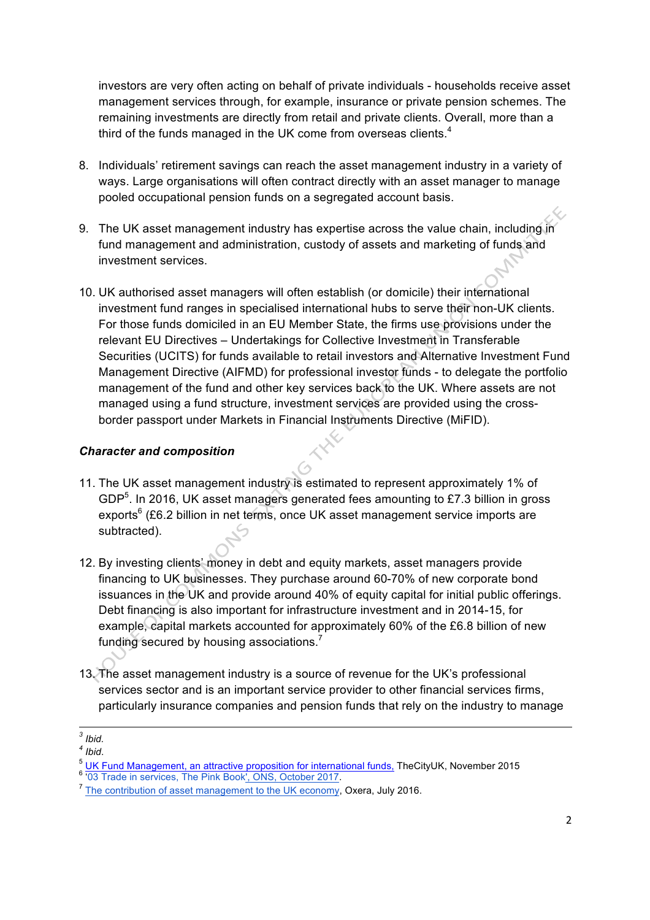investors are very often acting on behalf of private individuals - households receive asset management services through, for example, insurance or private pension schemes. The remaining investments are directly from retail and private clients. Overall, more than a third of the funds managed in the UK come from overseas clients.<sup>4</sup>

- 8. Individuals' retirement savings can reach the asset management industry in a variety of ways. Large organisations will often contract directly with an asset manager to manage pooled occupational pension funds on a segregated account basis.
- 9. The UK asset management industry has expertise across the value chain, including in fund management and administration, custody of assets and marketing of funds and investment services.
- 10. UK authorised asset managers will often establish (or domicile) their international investment fund ranges in specialised international hubs to serve their non-UK clients. For those funds domiciled in an EU Member State, the firms use provisions under the relevant EU Directives – Undertakings for Collective Investment in Transferable Securities (UCITS) for funds available to retail investors and Alternative Investment Fund Management Directive (AIFMD) for professional investor funds - to delegate the portfolio management of the fund and other key services back to the UK. Where assets are not managed using a fund structure, investment services are provided using the crossborder passport under Markets in Financial Instruments Directive (MiFID).

#### *Character and composition*

- 11. The UK asset management industry is estimated to represent approximately 1% of GDP $<sup>5</sup>$ . In 2016, UK asset managers generated fees amounting to £7.3 billion in gross</sup> exports $6$  (£6.2 billion in net terms, once UK asset management service imports are subtracted).
- 12. By investing clients' money in debt and equity markets, asset managers provide financing to UK businesses. They purchase around 60-70% of new corporate bond issuances in the UK and provide around 40% of equity capital for initial public offerings. Debt financing is also important for infrastructure investment and in 2014-15, for example, capital markets accounted for approximately 60% of the £6.8 billion of new funding secured by housing associations.<sup>7</sup>
- 13. The asset management industry is a source of revenue for the UK's professional services sector and is an important service provider to other financial services firms, particularly insurance companies and pension funds that rely on the industry to manage

 *<sup>3</sup> Ibid.*

*<sup>4</sup> Ibid*.

 $5 \frac{\text{UK Fund Management, an attractive proposition for international funds, TheCityUK, November 2015}{03 Trade in services, The Pink Book, ONS, October 2017.}$ 

<sup>&</sup>lt;sup>7</sup> The contribution of asset management to the UK economy, Oxera, July 2016.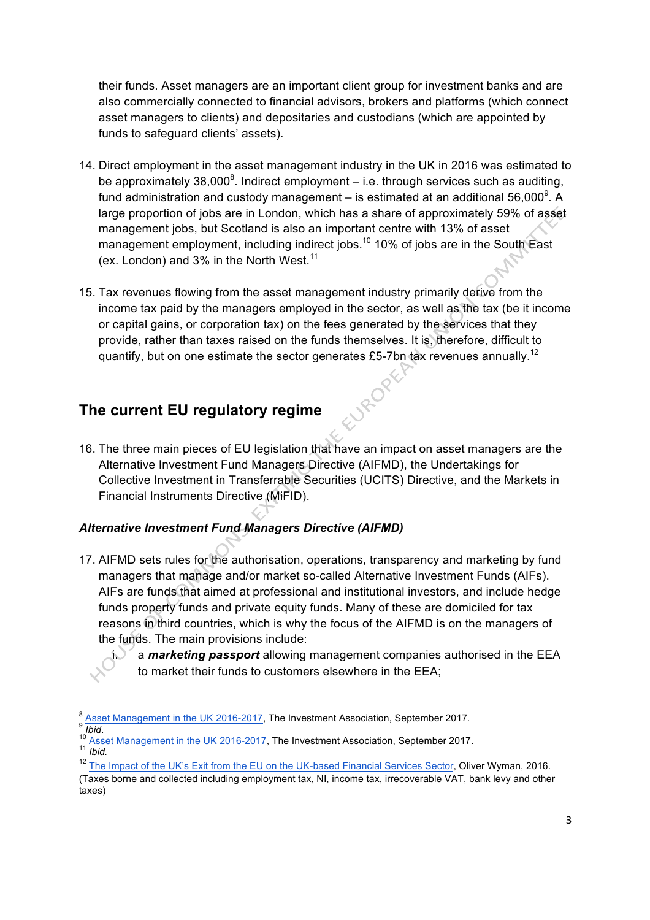their funds. Asset managers are an important client group for investment banks and are also commercially connected to financial advisors, brokers and platforms (which connect asset managers to clients) and depositaries and custodians (which are appointed by funds to safeguard clients' assets).

- 14. Direct employment in the asset management industry in the UK in 2016 was estimated to be approximately 38,000 $^8$ . Indirect employment – i.e. through services such as auditing, fund administration and custody management – is estimated at an additional 56,000<sup>9</sup>. A large proportion of jobs are in London, which has a share of approximately 59% of asset management jobs, but Scotland is also an important centre with 13% of asset management employment, including indirect jobs.<sup>10</sup> 10% of jobs are in the South East (ex. London) and  $3\%$  in the North West.<sup>11</sup>
- 15. Tax revenues flowing from the asset management industry primarily derive from the income tax paid by the managers employed in the sector, as well as the tax (be it income or capital gains, or corporation tax) on the fees generated by the services that they provide, rather than taxes raised on the funds themselves. It is, therefore, difficult to quantify, but on one estimate the sector generates £5-7bn tax revenues annually.<sup>12</sup>

**JROP** 

## **The current EU regulatory regime**

16. The three main pieces of EU legislation that have an impact on asset managers are the Alternative Investment Fund Managers Directive (AIFMD), the Undertakings for Collective Investment in Transferrable Securities (UCITS) Directive, and the Markets in Financial Instruments Directive (MiFID).

## *Alternative Investment Fund Managers Directive (AIFMD)*

- 17. AIFMD sets rules for the authorisation, operations, transparency and marketing by fund managers that manage and/or market so-called Alternative Investment Funds (AIFs). AIFs are funds that aimed at professional and institutional investors, and include hedge funds property funds and private equity funds. Many of these are domiciled for tax reasons in third countries, which is why the focus of the AIFMD is on the managers of the funds. The main provisions include:
	- a **marketing passport** allowing management companies authorised in the EEA to market their funds to customers elsewhere in the EEA;

<sup>8</sup> Asset Management in the UK 2016-2017, The Investment Association, September 2017.<br>
<sup>10</sup> *Asset Management in the UK 2016-2017*, The Investment Association, September 2017.<br>
<sup>11</sup> *Ibid.* 

<sup>&</sup>lt;sup>12</sup> The Impact of the UK's Exit from the EU on the UK-based Financial Services Sector, Oliver Wyman, 2016.

<sup>(</sup>Taxes borne and collected including employment tax, NI, income tax, irrecoverable VAT, bank levy and other taxes)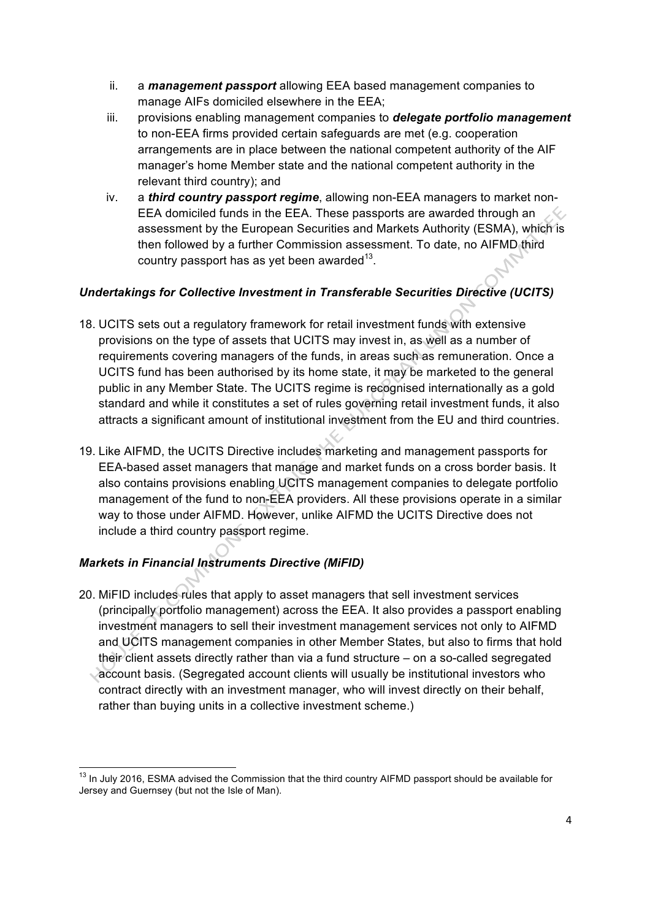- ii. a *management passport* allowing EEA based management companies to manage AIFs domiciled elsewhere in the EEA;
- iii. provisions enabling management companies to *delegate portfolio management* to non-EEA firms provided certain safeguards are met (e.g. cooperation arrangements are in place between the national competent authority of the AIF manager's home Member state and the national competent authority in the relevant third country); and
- iv. a *third country passport regime*, allowing non-EEA managers to market non-EEA domiciled funds in the EEA. These passports are awarded through an assessment by the European Securities and Markets Authority (ESMA), which is then followed by a further Commission assessment. To date, no AIFMD third country passport has as yet been awarded<sup>13</sup>.

### *Undertakings for Collective Investment in Transferable Securities Directive (UCITS)*

- 18. UCITS sets out a regulatory framework for retail investment funds with extensive provisions on the type of assets that UCITS may invest in, as well as a number of requirements covering managers of the funds, in areas such as remuneration. Once a UCITS fund has been authorised by its home state, it may be marketed to the general public in any Member State. The UCITS regime is recognised internationally as a gold standard and while it constitutes a set of rules governing retail investment funds, it also attracts a significant amount of institutional investment from the EU and third countries.
- 19. Like AIFMD, the UCITS Directive includes marketing and management passports for EEA-based asset managers that manage and market funds on a cross border basis. It also contains provisions enabling UCITS management companies to delegate portfolio management of the fund to non-EEA providers. All these provisions operate in a similar way to those under AIFMD. However, unlike AIFMD the UCITS Directive does not include a third country passport regime.

### *Markets in Financial Instruments Directive (MiFID)*

- 20. MiFID includes rules that apply to asset managers that sell investment services (principally portfolio management) across the EEA. It also provides a passport enabling investment managers to sell their investment management services not only to AIFMD and UCITS management companies in other Member States, but also to firms that hold their client assets directly rather than via a fund structure – on a so-called segregated
	- account basis. (Segregated account clients will usually be institutional investors who contract directly with an investment manager, who will invest directly on their behalf, rather than buying units in a collective investment scheme.)

<sup>&</sup>lt;sup>13</sup> In July 2016, ESMA advised the Commission that the third country AIFMD passport should be available for Jersey and Guernsey (but not the Isle of Man).